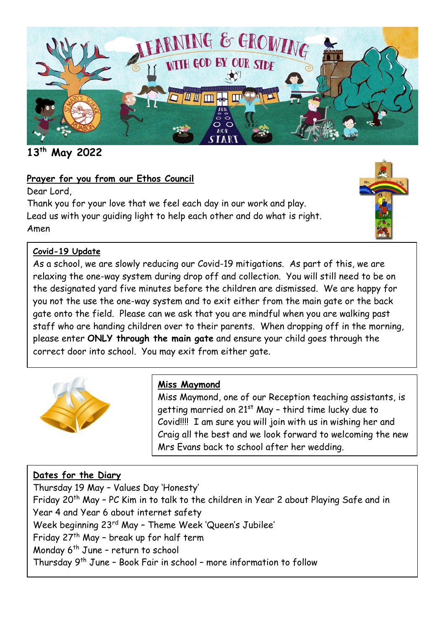

**13th May 2022**

### **Prayer for you from our Ethos Council**

Dear Lord,

Thank you for your love that we feel each day in our work and play. Lead us with your guiding light to help each other and do what is right. Amen



### **Covid-19 Update**

As a school, we are slowly reducing our Covid-19 mitigations. As part of this, we are relaxing the one-way system during drop off and collection. You will still need to be on the designated yard five minutes before the children are dismissed. We are happy for you not the use the one-way system and to exit either from the main gate or the back gate onto the field. Please can we ask that you are mindful when you are walking past staff who are handing children over to their parents. When dropping off in the morning, please enter **ONLY through the main gate** and ensure your child goes through the correct door into school. You may exit from either gate.



### **Miss Maymond**

Miss Maymond, one of our Reception teaching assistants, is getting married on 21<sup>st</sup> May - third time lucky due to Covid!!!! I am sure you will join with us in wishing her and Craig all the best and we look forward to welcoming the new Mrs Evans back to school after her wedding.

### **Dates for the Diary**

Thursday 19 May – Values Day 'Honesty' Friday 20<sup>th</sup> May - PC Kim in to talk to the children in Year 2 about Playing Safe and in Year 4 and Year 6 about internet safety Week beginning 23rd May – Theme Week 'Queen's Jubilee' Friday 27th May – break up for half term Monday 6<sup>th</sup> June - return to school Thursday 9th June – Book Fair in school – more information to follow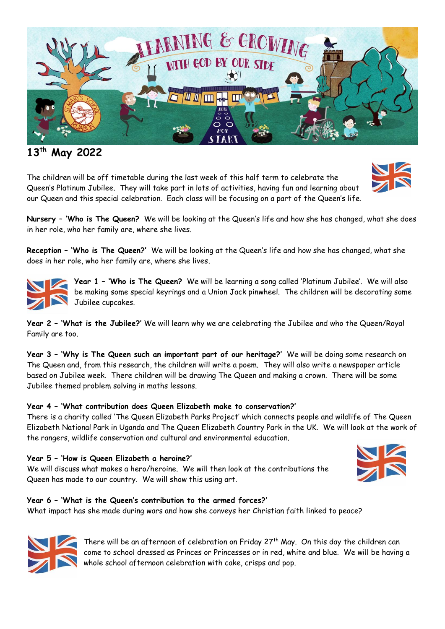

## **13th May 2022**

The children will be off timetable during the last week of this half term to celebrate the Queen's Platinum Jubilee. They will take part in lots of activities, having fun and learning about our Queen and this special celebration. Each class will be focusing on a part of the Queen's life.



**Nursery – 'Who is The Queen?** We will be looking at the Queen's life and how she has changed, what she does in her role, who her family are, where she lives.

**Reception – 'Who is The Queen?'** We will be looking at the Queen's life and how she has changed, what she does in her role, who her family are, where she lives.



**Year 1 – 'Who is The Queen?** We will be learning a song called 'Platinum Jubilee'. We will also be making some special keyrings and a Union Jack pinwheel. The children will be decorating some Jubilee cupcakes.

**Year 2 – 'What is the Jubilee?'** We will learn why we are celebrating the Jubilee and who the Queen/Royal Family are too.

**Year 3 – 'Why is The Queen such an important part of our heritage?'** We will be doing some research on The Queen and, from this research, the children will write a poem. They will also write a newspaper article based on Jubilee week. There children will be drawing The Queen and making a crown. There will be some Jubilee themed problem solving in maths lessons.

### **Year 4 – 'What contribution does Queen Elizabeth make to conservation?'**

There is a charity called 'The Queen Elizabeth Parks Project' which connects people and wildlife of The Queen Elizabeth National Park in Uganda and The Queen Elizabeth Country Park in the UK. We will look at the work of the rangers, wildlife conservation and cultural and environmental education.

### **Year 5 – 'How is Queen Elizabeth a heroine?'**

We will discuss what makes a hero/heroine. We will then look at the contributions the Queen has made to our country. We will show this using art.



#### **Year 6 – 'What is the Queen's contribution to the armed forces?'**

What impact has she made during wars and how she conveys her Christian faith linked to peace?



There will be an afternoon of celebration on Friday  $27<sup>th</sup>$  May. On this day the children can come to school dressed as Princes or Princesses or in red, white and blue. We will be having a whole school afternoon celebration with cake, crisps and pop.